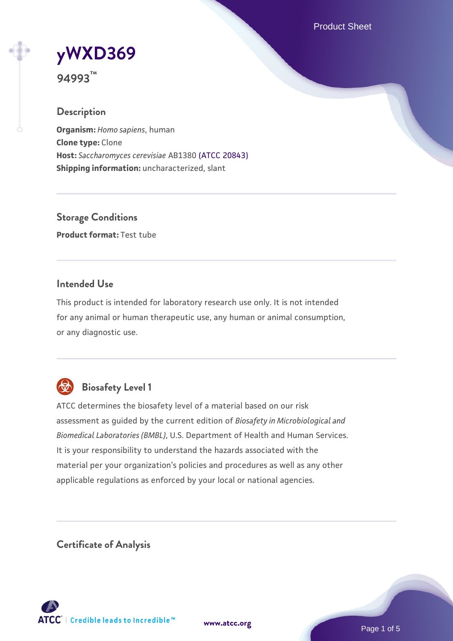Product Sheet

# **[yWXD369](https://www.atcc.org/products/94993)**

**94993™**

## **Description**

**Organism:** *Homo sapiens*, human **Clone type:** Clone **Host:** *Saccharomyces cerevisiae* AB1380 [\(ATCC 20843\)](https://www.atcc.org/products/20843) **Shipping information:** uncharacterized, slant

**Storage Conditions Product format:** Test tube

#### **Intended Use**

This product is intended for laboratory research use only. It is not intended for any animal or human therapeutic use, any human or animal consumption, or any diagnostic use.



# **Biosafety Level 1**

ATCC determines the biosafety level of a material based on our risk assessment as guided by the current edition of *Biosafety in Microbiological and Biomedical Laboratories (BMBL)*, U.S. Department of Health and Human Services. It is your responsibility to understand the hazards associated with the material per your organization's policies and procedures as well as any other applicable regulations as enforced by your local or national agencies.

**Certificate of Analysis**

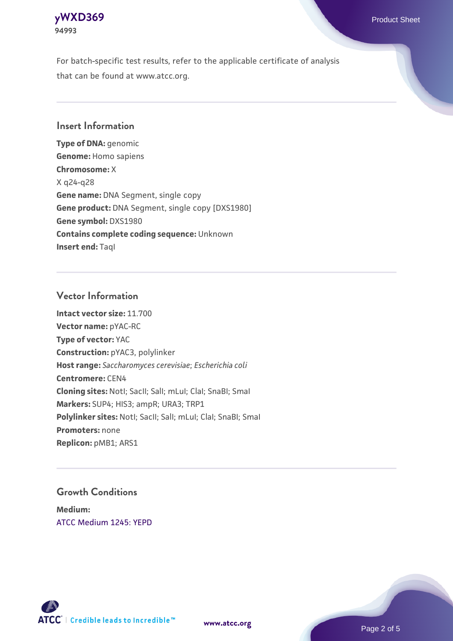

For batch-specific test results, refer to the applicable certificate of analysis that can be found at www.atcc.org.

#### **Insert Information**

**Type of DNA:** genomic **Genome:** Homo sapiens **Chromosome:** X X q24-q28 **Gene name:** DNA Segment, single copy **Gene product:** DNA Segment, single copy [DXS1980] **Gene symbol:** DXS1980 **Contains complete coding sequence:** Unknown **Insert end: Tagl** 

#### **Vector Information**

**Intact vector size:** 11.700 **Vector name:** pYAC-RC **Type of vector:** YAC **Construction:** pYAC3, polylinker **Host range:** *Saccharomyces cerevisiae*; *Escherichia coli* **Centromere:** CEN4 **Cloning sites:** NotI; SacII; SalI; mLuI; ClaI; SnaBI; SmaI **Markers:** SUP4; HIS3; ampR; URA3; TRP1 Polylinker sites: Notl; SacII; SalI; mLuI; ClaI; SnaBI; SmaI **Promoters:** none **Replicon:** pMB1; ARS1

#### **Growth Conditions**

**Medium:**  [ATCC Medium 1245: YEPD](https://www.atcc.org/-/media/product-assets/documents/microbial-media-formulations/1/2/4/5/atcc-medium-1245.pdf?rev=705ca55d1b6f490a808a965d5c072196)



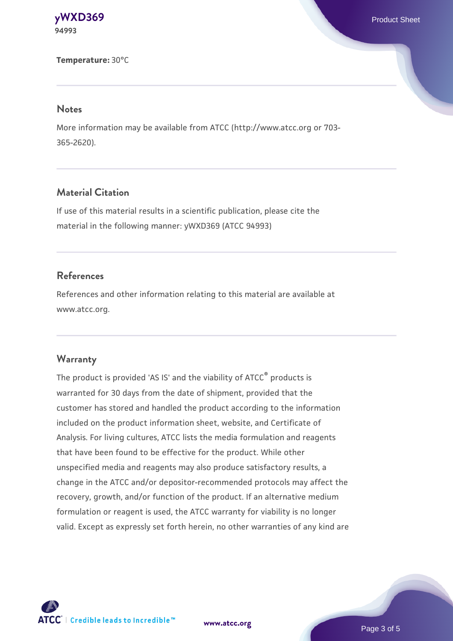**[yWXD369](https://www.atcc.org/products/94993)** Product Sheet **94993**

**Temperature:** 30°C

#### **Notes**

More information may be available from ATCC (http://www.atcc.org or 703- 365-2620).

#### **Material Citation**

If use of this material results in a scientific publication, please cite the material in the following manner: yWXD369 (ATCC 94993)

#### **References**

References and other information relating to this material are available at www.atcc.org.

#### **Warranty**

The product is provided 'AS IS' and the viability of ATCC® products is warranted for 30 days from the date of shipment, provided that the customer has stored and handled the product according to the information included on the product information sheet, website, and Certificate of Analysis. For living cultures, ATCC lists the media formulation and reagents that have been found to be effective for the product. While other unspecified media and reagents may also produce satisfactory results, a change in the ATCC and/or depositor-recommended protocols may affect the recovery, growth, and/or function of the product. If an alternative medium formulation or reagent is used, the ATCC warranty for viability is no longer valid. Except as expressly set forth herein, no other warranties of any kind are

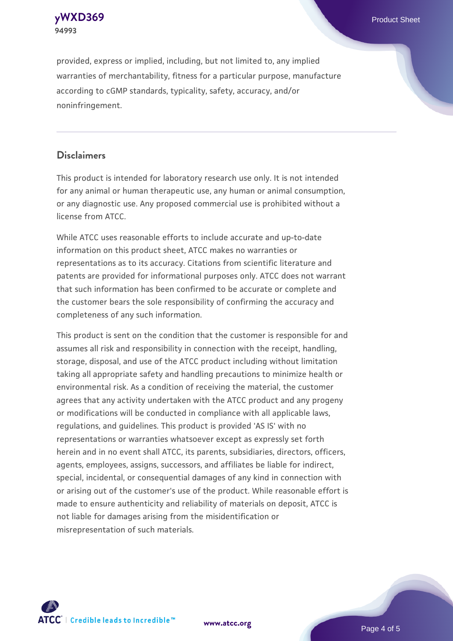**[yWXD369](https://www.atcc.org/products/94993)** Product Sheet **94993**

provided, express or implied, including, but not limited to, any implied warranties of merchantability, fitness for a particular purpose, manufacture according to cGMP standards, typicality, safety, accuracy, and/or noninfringement.

#### **Disclaimers**

This product is intended for laboratory research use only. It is not intended for any animal or human therapeutic use, any human or animal consumption, or any diagnostic use. Any proposed commercial use is prohibited without a license from ATCC.

While ATCC uses reasonable efforts to include accurate and up-to-date information on this product sheet, ATCC makes no warranties or representations as to its accuracy. Citations from scientific literature and patents are provided for informational purposes only. ATCC does not warrant that such information has been confirmed to be accurate or complete and the customer bears the sole responsibility of confirming the accuracy and completeness of any such information.

This product is sent on the condition that the customer is responsible for and assumes all risk and responsibility in connection with the receipt, handling, storage, disposal, and use of the ATCC product including without limitation taking all appropriate safety and handling precautions to minimize health or environmental risk. As a condition of receiving the material, the customer agrees that any activity undertaken with the ATCC product and any progeny or modifications will be conducted in compliance with all applicable laws, regulations, and guidelines. This product is provided 'AS IS' with no representations or warranties whatsoever except as expressly set forth herein and in no event shall ATCC, its parents, subsidiaries, directors, officers, agents, employees, assigns, successors, and affiliates be liable for indirect, special, incidental, or consequential damages of any kind in connection with or arising out of the customer's use of the product. While reasonable effort is made to ensure authenticity and reliability of materials on deposit, ATCC is not liable for damages arising from the misidentification or misrepresentation of such materials.



**[www.atcc.org](http://www.atcc.org)**

Page 4 of 5